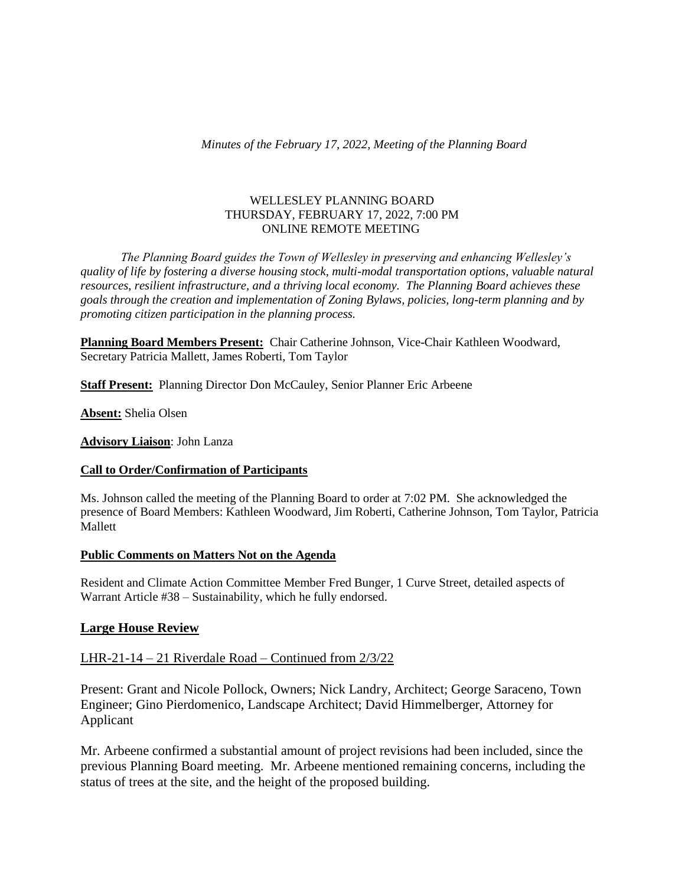#### WELLESLEY PLANNING BOARD THURSDAY, FEBRUARY 17, 2022, 7:00 PM ONLINE REMOTE MEETING

*The Planning Board guides the Town of Wellesley in preserving and enhancing Wellesley's quality of life by fostering a diverse housing stock, multi-modal transportation options, valuable natural resources, resilient infrastructure, and a thriving local economy. The Planning Board achieves these goals through the creation and implementation of Zoning Bylaws, policies, long-term planning and by promoting citizen participation in the planning process.*

**Planning Board Members Present:** Chair Catherine Johnson, Vice-Chair Kathleen Woodward, Secretary Patricia Mallett, James Roberti, Tom Taylor

**Staff Present:** Planning Director Don McCauley, Senior Planner Eric Arbeene

**Absent:** Shelia Olsen

**Advisory Liaison**: John Lanza

### **Call to Order/Confirmation of Participants**

Ms. Johnson called the meeting of the Planning Board to order at 7:02 PM. She acknowledged the presence of Board Members: Kathleen Woodward, Jim Roberti, Catherine Johnson, Tom Taylor, Patricia Mallett

### **Public Comments on Matters Not on the Agenda**

Resident and Climate Action Committee Member Fred Bunger, 1 Curve Street, detailed aspects of Warrant Article #38 – Sustainability, which he fully endorsed.

### **Large House Review**

### LHR-21-14 – 21 Riverdale Road – Continued from 2/3/22

Present: Grant and Nicole Pollock, Owners; Nick Landry, Architect; George Saraceno, Town Engineer; Gino Pierdomenico, Landscape Architect; David Himmelberger, Attorney for Applicant

Mr. Arbeene confirmed a substantial amount of project revisions had been included, since the previous Planning Board meeting. Mr. Arbeene mentioned remaining concerns, including the status of trees at the site, and the height of the proposed building.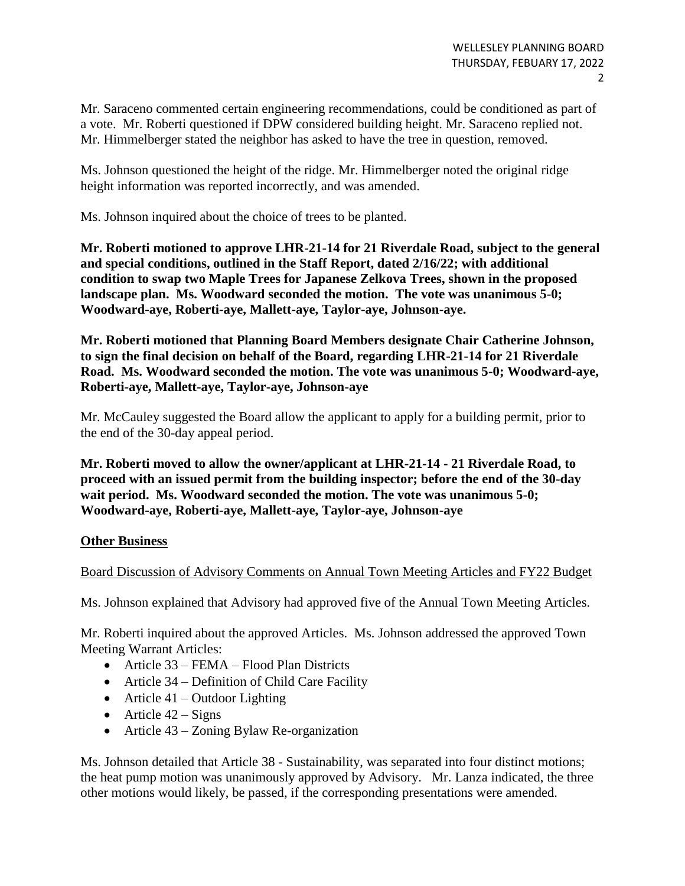Mr. Saraceno commented certain engineering recommendations, could be conditioned as part of a vote. Mr. Roberti questioned if DPW considered building height. Mr. Saraceno replied not. Mr. Himmelberger stated the neighbor has asked to have the tree in question, removed.

Ms. Johnson questioned the height of the ridge. Mr. Himmelberger noted the original ridge height information was reported incorrectly, and was amended.

Ms. Johnson inquired about the choice of trees to be planted.

**Mr. Roberti motioned to approve LHR-21-14 for 21 Riverdale Road, subject to the general and special conditions, outlined in the Staff Report, dated 2/16/22; with additional condition to swap two Maple Trees for Japanese Zelkova Trees, shown in the proposed landscape plan. Ms. Woodward seconded the motion. The vote was unanimous 5-0; Woodward-aye, Roberti-aye, Mallett-aye, Taylor-aye, Johnson-aye.**

**Mr. Roberti motioned that Planning Board Members designate Chair Catherine Johnson, to sign the final decision on behalf of the Board, regarding LHR-21-14 for 21 Riverdale Road. Ms. Woodward seconded the motion. The vote was unanimous 5-0; Woodward-aye, Roberti-aye, Mallett-aye, Taylor-aye, Johnson-aye**

Mr. McCauley suggested the Board allow the applicant to apply for a building permit, prior to the end of the 30-day appeal period.

**Mr. Roberti moved to allow the owner/applicant at LHR-21-14 - 21 Riverdale Road, to proceed with an issued permit from the building inspector; before the end of the 30-day wait period. Ms. Woodward seconded the motion. The vote was unanimous 5-0; Woodward-aye, Roberti-aye, Mallett-aye, Taylor-aye, Johnson-aye**

# **Other Business**

# Board Discussion of Advisory Comments on Annual Town Meeting Articles and FY22 Budget

Ms. Johnson explained that Advisory had approved five of the Annual Town Meeting Articles.

Mr. Roberti inquired about the approved Articles. Ms. Johnson addressed the approved Town Meeting Warrant Articles:

- Article 33 FEMA Flood Plan Districts
- Article 34 Definition of Child Care Facility
- $\bullet$  Article 41 Outdoor Lighting
- $\bullet$  Article 42 Signs
- Article 43 Zoning Bylaw Re-organization

Ms. Johnson detailed that Article 38 - Sustainability, was separated into four distinct motions; the heat pump motion was unanimously approved by Advisory. Mr. Lanza indicated, the three other motions would likely, be passed, if the corresponding presentations were amended.